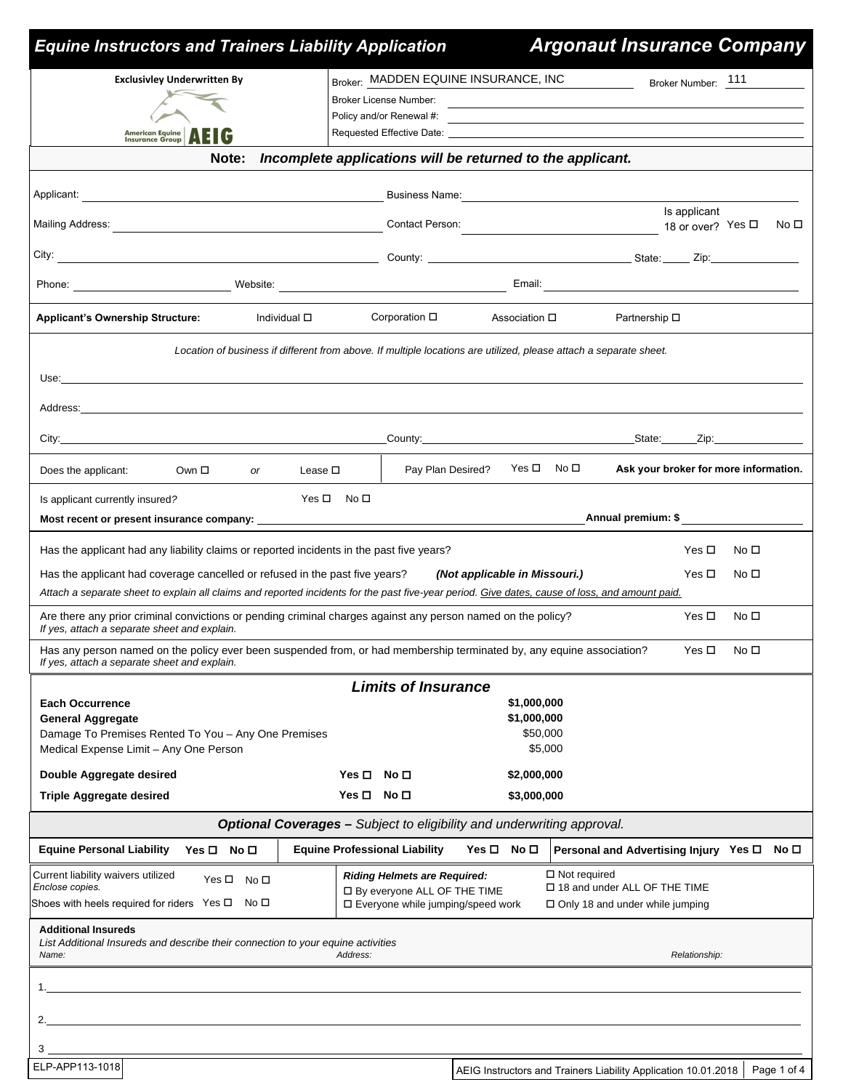| <b>Equine Instructors and Trainers Liability Application</b>                                                                                                                                                                   |                                                                                                                   |                                                                                                                                                                                                                                | <b>Argonaut Insurance Company</b>          |                 |      |
|--------------------------------------------------------------------------------------------------------------------------------------------------------------------------------------------------------------------------------|-------------------------------------------------------------------------------------------------------------------|--------------------------------------------------------------------------------------------------------------------------------------------------------------------------------------------------------------------------------|--------------------------------------------|-----------------|------|
| <b>Exclusivley Underwritten By</b>                                                                                                                                                                                             | Broker: MADDEN EQUINE INSURANCE, INC                                                                              |                                                                                                                                                                                                                                | Broker Number: 111<br><u>a sa mga sa</u>   |                 |      |
|                                                                                                                                                                                                                                | Broker License Number:                                                                                            |                                                                                                                                                                                                                                |                                            |                 |      |
| American Equine <b>AEIG</b>                                                                                                                                                                                                    | Policy and/or Renewal #:                                                                                          | the control of the control of the control of the control of the control of the control of the control of the control of the control of the control of the control of the control of the control of the control of the control  |                                            |                 |      |
| Note:                                                                                                                                                                                                                          | Incomplete applications will be returned to the applicant.                                                        |                                                                                                                                                                                                                                |                                            |                 |      |
|                                                                                                                                                                                                                                |                                                                                                                   |                                                                                                                                                                                                                                |                                            |                 |      |
|                                                                                                                                                                                                                                |                                                                                                                   | Business Name: 2008. [1] David State State State State State State State State State State State State State State State State State State State State State State State State State State State State State State State State | Is applicant                               |                 |      |
|                                                                                                                                                                                                                                | Contact Person:                                                                                                   | ————————————————— 18 or over? Yes <b>□</b>                                                                                                                                                                                     |                                            |                 | No □ |
|                                                                                                                                                                                                                                |                                                                                                                   |                                                                                                                                                                                                                                |                                            |                 |      |
|                                                                                                                                                                                                                                |                                                                                                                   |                                                                                                                                                                                                                                |                                            |                 |      |
| <b>Applicant's Ownership Structure:</b><br>Individual □                                                                                                                                                                        | Corporation □                                                                                                     | Association □                                                                                                                                                                                                                  | Partnership □                              |                 |      |
|                                                                                                                                                                                                                                | Location of business if different from above. If multiple locations are utilized, please attach a separate sheet. |                                                                                                                                                                                                                                |                                            |                 |      |
| Use:<br>and the control of the control of the control of the control of the control of the control of the control of the                                                                                                       |                                                                                                                   |                                                                                                                                                                                                                                |                                            |                 |      |
| Address: the contract of the contract of the contract of the contract of the contract of the contract of the contract of the contract of the contract of the contract of the contract of the contract of the contract of the c |                                                                                                                   |                                                                                                                                                                                                                                |                                            |                 |      |
|                                                                                                                                                                                                                                |                                                                                                                   | County: County: County: County: County: County: County: County: County: County:                                                                                                                                                |                                            |                 |      |
| Does the applicant:<br>Own □<br><b>or</b>                                                                                                                                                                                      | Pay Plan Desired?<br>Lease $\square$                                                                              | Yes ロ No ロ                                                                                                                                                                                                                     | Ask your broker for more information.      |                 |      |
|                                                                                                                                                                                                                                | Yes ロ No ロ                                                                                                        |                                                                                                                                                                                                                                |                                            |                 |      |
| Is applicant currently insured?<br>Most recent or present insurance company: ___                                                                                                                                               |                                                                                                                   |                                                                                                                                                                                                                                | Annual premium: \$__________               |                 |      |
| Has the applicant had any liability claims or reported incidents in the past five years?                                                                                                                                       |                                                                                                                   |                                                                                                                                                                                                                                | Yes □                                      | No □            |      |
| Has the applicant had coverage cancelled or refused in the past five years?                                                                                                                                                    |                                                                                                                   | (Not applicable in Missouri.)                                                                                                                                                                                                  | Yes □                                      | No □            |      |
| Attach a separate sheet to explain all claims and reported incidents for the past five-year period. Give dates, cause of loss, and amount paid.                                                                                |                                                                                                                   |                                                                                                                                                                                                                                |                                            |                 |      |
| Are there any prior criminal convictions or pending criminal charges against any person named on the policy?<br>If yes, attach a separate sheet and explain.                                                                   |                                                                                                                   |                                                                                                                                                                                                                                | Yes $\Box$                                 | No <sub>1</sub> |      |
| Has any person named on the policy ever been suspended from, or had membership terminated by, any equine association?<br>If yes, attach a separate sheet and explain.                                                          |                                                                                                                   |                                                                                                                                                                                                                                | Yes □                                      | No <sub>1</sub> |      |
|                                                                                                                                                                                                                                | <b>Limits of Insurance</b>                                                                                        |                                                                                                                                                                                                                                |                                            |                 |      |
| <b>Each Occurrence</b><br><b>General Aggregate</b>                                                                                                                                                                             |                                                                                                                   | \$1,000,000<br>\$1,000,000                                                                                                                                                                                                     |                                            |                 |      |
| Damage To Premises Rented To You - Any One Premises<br>Medical Expense Limit - Any One Person                                                                                                                                  |                                                                                                                   | \$50,000<br>\$5,000                                                                                                                                                                                                            |                                            |                 |      |
| Double Aggregate desired                                                                                                                                                                                                       | Yes <b>□</b><br>No □                                                                                              | \$2,000,000                                                                                                                                                                                                                    |                                            |                 |      |
| <b>Triple Aggregate desired</b>                                                                                                                                                                                                | $Yes \Box No \Box$                                                                                                | \$3,000,000                                                                                                                                                                                                                    |                                            |                 |      |
|                                                                                                                                                                                                                                | Optional Coverages - Subject to eligibility and underwriting approval.                                            |                                                                                                                                                                                                                                |                                            |                 |      |
| <b>Equine Personal Liability</b><br>Yes O No O                                                                                                                                                                                 | <b>Equine Professional Liability</b>                                                                              | $Yes \Box No \Box$                                                                                                                                                                                                             | Personal and Advertising Injury Yes □ No □ |                 |      |
| Current liability waivers utilized<br>Yes □ No □<br>Enclose copies.                                                                                                                                                            | <b>Riding Helmets are Required:</b>                                                                               | $\Box$ Not required                                                                                                                                                                                                            | □ 18 and under ALL OF THE TIME             |                 |      |
| Shoes with heels required for riders Yes $\Box$ No $\Box$                                                                                                                                                                      | □ By everyone ALL OF THE TIME<br>□ Everyone while jumping/speed work                                              |                                                                                                                                                                                                                                | □ Only 18 and under while jumping          |                 |      |
| <b>Additional Insureds</b><br>List Additional Insureds and describe their connection to your equine activities<br>Name:                                                                                                        | Address:                                                                                                          |                                                                                                                                                                                                                                | Relationship:                              |                 |      |
| 1.                                                                                                                                                                                                                             |                                                                                                                   |                                                                                                                                                                                                                                |                                            |                 |      |
|                                                                                                                                                                                                                                |                                                                                                                   |                                                                                                                                                                                                                                |                                            |                 |      |
|                                                                                                                                                                                                                                |                                                                                                                   |                                                                                                                                                                                                                                |                                            |                 |      |
| $3_{-}$                                                                                                                                                                                                                        |                                                                                                                   |                                                                                                                                                                                                                                |                                            |                 |      |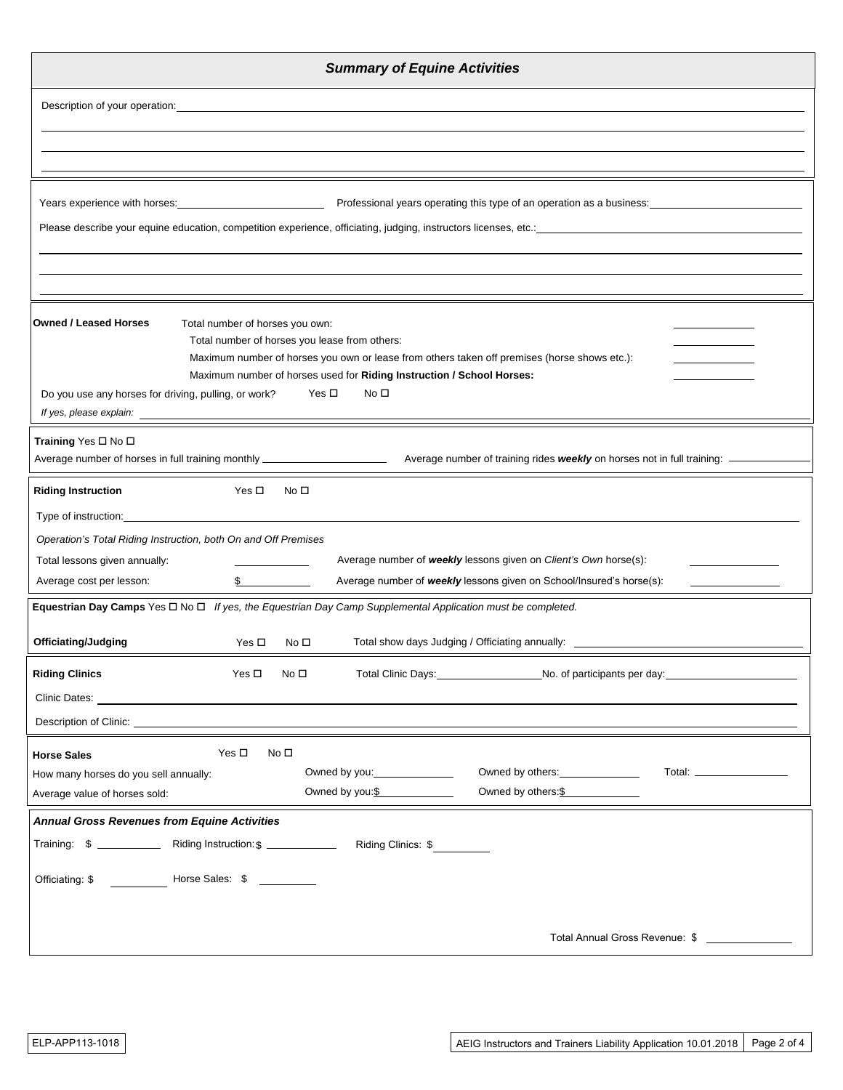| <b>Summary of Equine Activities</b>                                                                                                                                 |  |  |  |  |  |
|---------------------------------------------------------------------------------------------------------------------------------------------------------------------|--|--|--|--|--|
| Description of your operation:<br><u> 1989 - John Stein, Amerikaansk konstantinopler († 1989)</u>                                                                   |  |  |  |  |  |
|                                                                                                                                                                     |  |  |  |  |  |
|                                                                                                                                                                     |  |  |  |  |  |
| Professional years operating this type of an operation as a business:<br>Years experience with horses:                                                              |  |  |  |  |  |
|                                                                                                                                                                     |  |  |  |  |  |
|                                                                                                                                                                     |  |  |  |  |  |
|                                                                                                                                                                     |  |  |  |  |  |
| <b>Owned / Leased Horses</b><br>Total number of horses you own:                                                                                                     |  |  |  |  |  |
| Total number of horses you lease from others:<br>Maximum number of horses you own or lease from others taken off premises (horse shows etc.):                       |  |  |  |  |  |
| Maximum number of horses used for Riding Instruction / School Horses:                                                                                               |  |  |  |  |  |
| Yes □<br>No $\square$<br>Do you use any horses for driving, pulling, or work?                                                                                       |  |  |  |  |  |
| Training Yes □ No □                                                                                                                                                 |  |  |  |  |  |
| Average number of horses in full training monthly ________________________<br>Average number of training rides weekly on horses not in full training: ____          |  |  |  |  |  |
| <b>Riding Instruction</b><br>Yes □<br>No □                                                                                                                          |  |  |  |  |  |
| Type of instruction: Type of instruction:                                                                                                                           |  |  |  |  |  |
| Operation's Total Riding Instruction, both On and Off Premises<br>Average number of weekly lessons given on Client's Own horse(s):<br>Total lessons given annually: |  |  |  |  |  |
| Average number of weekly lessons given on School/Insured's horse(s):<br>Average cost per lesson:<br>$\mathbb{S}$                                                    |  |  |  |  |  |
| Equestrian Day Camps Yes □ No □ If yes, the Equestrian Day Camp Supplemental Application must be completed.                                                         |  |  |  |  |  |
| Officiating/Judging<br>Total show days Judging / Officiating annually:<br>Yes $\Box$<br>No <sub>1</sub>                                                             |  |  |  |  |  |
| <b>Riding Clinics</b><br>Total Clinic Days: No. of participants per day: No. 1 (2012)<br>Yes $\square$<br>No $\square$                                              |  |  |  |  |  |
|                                                                                                                                                                     |  |  |  |  |  |
|                                                                                                                                                                     |  |  |  |  |  |
| Yes $\Box$<br>No <sub>1</sub><br><b>Horse Sales</b>                                                                                                                 |  |  |  |  |  |
| Owned by others: ________________<br>Owned by you: _______________<br>Total: ___________________<br>How many horses do you sell annually:                           |  |  |  |  |  |
| Owned by you: \$<br>Owned by others: \$<br>Average value of horses sold:                                                                                            |  |  |  |  |  |
| <b>Annual Gross Revenues from Equine Activities</b><br>Training: \$ _______________ Riding Instruction: \$ ______________<br>Riding Clinics: \$                     |  |  |  |  |  |
|                                                                                                                                                                     |  |  |  |  |  |
| Horse Sales: \$<br>Officiating: \$                                                                                                                                  |  |  |  |  |  |
|                                                                                                                                                                     |  |  |  |  |  |
| Total Annual Gross Revenue: \$ ______________                                                                                                                       |  |  |  |  |  |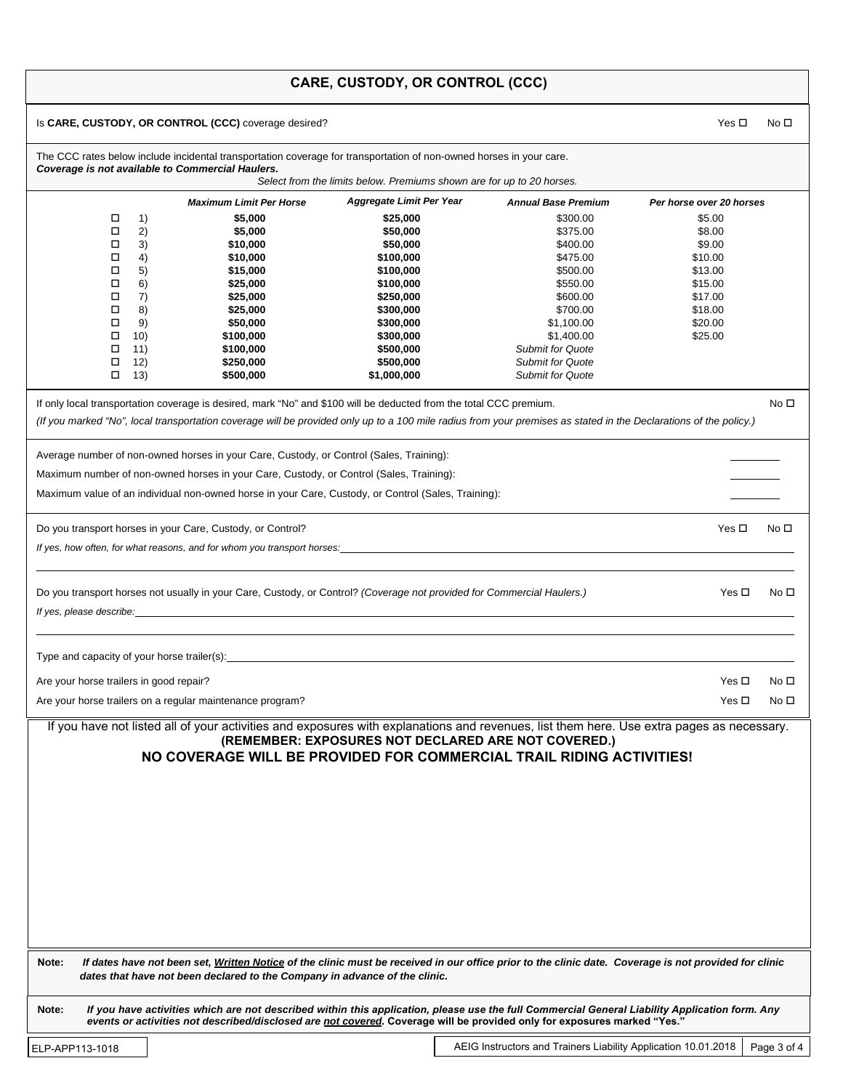|  |  | <b>CARE, CUSTODY, OR CONTROL (CCC)</b> |  |
|--|--|----------------------------------------|--|
|--|--|----------------------------------------|--|

| Is CARE, CUSTODY, OR CONTROL (CCC) coverage desired?                                                                                                                                                                                                                                                                                                           |                                                                       |                            | Yes □<br>No □            |  |  |  |  |  |
|----------------------------------------------------------------------------------------------------------------------------------------------------------------------------------------------------------------------------------------------------------------------------------------------------------------------------------------------------------------|-----------------------------------------------------------------------|----------------------------|--------------------------|--|--|--|--|--|
| The CCC rates below include incidental transportation coverage for transportation of non-owned horses in your care.<br>Coverage is not available to Commercial Haulers.                                                                                                                                                                                        |                                                                       |                            |                          |  |  |  |  |  |
|                                                                                                                                                                                                                                                                                                                                                                | Select from the limits below. Premiums shown are for up to 20 horses. |                            |                          |  |  |  |  |  |
| <b>Maximum Limit Per Horse</b>                                                                                                                                                                                                                                                                                                                                 | <b>Aggregate Limit Per Year</b>                                       | <b>Annual Base Premium</b> | Per horse over 20 horses |  |  |  |  |  |
| 1)<br>\$5,000<br>□                                                                                                                                                                                                                                                                                                                                             | \$25,000                                                              | \$300.00                   | \$5.00                   |  |  |  |  |  |
| 2)<br>□<br>\$5,000                                                                                                                                                                                                                                                                                                                                             | \$50,000                                                              | \$375.00                   | \$8.00                   |  |  |  |  |  |
| 3)<br>□<br>\$10,000                                                                                                                                                                                                                                                                                                                                            | \$50,000                                                              | \$400.00                   | \$9.00                   |  |  |  |  |  |
| □<br>4)<br>\$10,000<br>□<br>5)<br>\$15,000                                                                                                                                                                                                                                                                                                                     | \$100,000<br>\$100,000                                                | \$475.00<br>\$500.00       | \$10.00<br>\$13.00       |  |  |  |  |  |
| □<br>6)<br>\$25,000                                                                                                                                                                                                                                                                                                                                            | \$100,000                                                             | \$550.00                   | \$15.00                  |  |  |  |  |  |
| 7)<br>□<br>\$25,000                                                                                                                                                                                                                                                                                                                                            | \$250,000                                                             | \$600.00                   | \$17.00                  |  |  |  |  |  |
| □<br>8)<br>\$25,000                                                                                                                                                                                                                                                                                                                                            | \$300,000                                                             | \$700.00                   | \$18.00                  |  |  |  |  |  |
| □<br>9)<br>\$50,000                                                                                                                                                                                                                                                                                                                                            | \$300,000                                                             | \$1,100.00                 | \$20.00                  |  |  |  |  |  |
| □<br>10)<br>\$100,000                                                                                                                                                                                                                                                                                                                                          | \$300,000                                                             | \$1,400.00                 | \$25.00                  |  |  |  |  |  |
| □<br>11)<br>\$100,000                                                                                                                                                                                                                                                                                                                                          | \$500,000                                                             | <b>Submit for Quote</b>    |                          |  |  |  |  |  |
| □<br>12)<br>\$250,000                                                                                                                                                                                                                                                                                                                                          | \$500,000                                                             | <b>Submit for Quote</b>    |                          |  |  |  |  |  |
| □<br>(13)<br>\$500,000                                                                                                                                                                                                                                                                                                                                         | \$1,000,000                                                           | <b>Submit for Quote</b>    |                          |  |  |  |  |  |
| If only local transportation coverage is desired, mark "No" and \$100 will be deducted from the total CCC premium.                                                                                                                                                                                                                                             |                                                                       |                            | No □                     |  |  |  |  |  |
| (If you marked "No", local transportation coverage will be provided only up to a 100 mile radius from your premises as stated in the Declarations of the policy.)                                                                                                                                                                                              |                                                                       |                            |                          |  |  |  |  |  |
|                                                                                                                                                                                                                                                                                                                                                                |                                                                       |                            |                          |  |  |  |  |  |
| Average number of non-owned horses in your Care, Custody, or Control (Sales, Training):                                                                                                                                                                                                                                                                        |                                                                       |                            |                          |  |  |  |  |  |
|                                                                                                                                                                                                                                                                                                                                                                |                                                                       |                            |                          |  |  |  |  |  |
| Maximum number of non-owned horses in your Care, Custody, or Control (Sales, Training):                                                                                                                                                                                                                                                                        |                                                                       |                            |                          |  |  |  |  |  |
| Maximum value of an individual non-owned horse in your Care, Custody, or Control (Sales, Training):                                                                                                                                                                                                                                                            |                                                                       |                            |                          |  |  |  |  |  |
| Do you transport horses in your Care, Custody, or Control?                                                                                                                                                                                                                                                                                                     |                                                                       |                            | Yes $\Box$<br>No □       |  |  |  |  |  |
| If yes, how often, for what reasons, and for whom you transport horses:                                                                                                                                                                                                                                                                                        |                                                                       |                            |                          |  |  |  |  |  |
|                                                                                                                                                                                                                                                                                                                                                                |                                                                       |                            |                          |  |  |  |  |  |
| Do you transport horses not usually in your Care, Custody, or Control? (Coverage not provided for Commercial Haulers.)<br>If yes, please describe: <u>example and the set of the set of the set of the set of the set of the set of the set of the set of the set of the set of the set of the set of the set of the set of the set of the set of the set </u> | Yes $\Box$<br>No $\square$                                            |                            |                          |  |  |  |  |  |
|                                                                                                                                                                                                                                                                                                                                                                |                                                                       |                            |                          |  |  |  |  |  |
|                                                                                                                                                                                                                                                                                                                                                                |                                                                       |                            |                          |  |  |  |  |  |
|                                                                                                                                                                                                                                                                                                                                                                |                                                                       |                            |                          |  |  |  |  |  |
| Are your horse trailers in good repair?                                                                                                                                                                                                                                                                                                                        |                                                                       |                            | Yes □<br>No <sub>1</sub> |  |  |  |  |  |
| Are your horse trailers on a regular maintenance program?                                                                                                                                                                                                                                                                                                      |                                                                       |                            | Yes □<br>No □            |  |  |  |  |  |
| If you have not listed all of your activities and exposures with explanations and revenues, list them here. Use extra pages as necessary.                                                                                                                                                                                                                      |                                                                       |                            |                          |  |  |  |  |  |
|                                                                                                                                                                                                                                                                                                                                                                | (REMEMBER: EXPOSURES NOT DECLARED ARE NOT COVERED.)                   |                            |                          |  |  |  |  |  |
| NO COVERAGE WILL BE PROVIDED FOR COMMERCIAL TRAIL RIDING ACTIVITIES!                                                                                                                                                                                                                                                                                           |                                                                       |                            |                          |  |  |  |  |  |
|                                                                                                                                                                                                                                                                                                                                                                |                                                                       |                            |                          |  |  |  |  |  |
|                                                                                                                                                                                                                                                                                                                                                                |                                                                       |                            |                          |  |  |  |  |  |
|                                                                                                                                                                                                                                                                                                                                                                |                                                                       |                            |                          |  |  |  |  |  |
|                                                                                                                                                                                                                                                                                                                                                                |                                                                       |                            |                          |  |  |  |  |  |
|                                                                                                                                                                                                                                                                                                                                                                |                                                                       |                            |                          |  |  |  |  |  |
|                                                                                                                                                                                                                                                                                                                                                                |                                                                       |                            |                          |  |  |  |  |  |
|                                                                                                                                                                                                                                                                                                                                                                |                                                                       |                            |                          |  |  |  |  |  |
|                                                                                                                                                                                                                                                                                                                                                                |                                                                       |                            |                          |  |  |  |  |  |
|                                                                                                                                                                                                                                                                                                                                                                |                                                                       |                            |                          |  |  |  |  |  |
|                                                                                                                                                                                                                                                                                                                                                                |                                                                       |                            |                          |  |  |  |  |  |
|                                                                                                                                                                                                                                                                                                                                                                |                                                                       |                            |                          |  |  |  |  |  |
|                                                                                                                                                                                                                                                                                                                                                                |                                                                       |                            |                          |  |  |  |  |  |
| If dates have not been set, Written Notice of the clinic must be received in our office prior to the clinic date. Coverage is not provided for clinic<br>Note:<br>dates that have not been declared to the Company in advance of the clinic.                                                                                                                   |                                                                       |                            |                          |  |  |  |  |  |
| If you have activities which are not described within this application, please use the full Commercial General Liability Application form. Any<br>Note:                                                                                                                                                                                                        |                                                                       |                            |                          |  |  |  |  |  |
| events or activities not described/disclosed are not covered. Coverage will be provided only for exposures marked "Yes."                                                                                                                                                                                                                                       |                                                                       |                            |                          |  |  |  |  |  |
|                                                                                                                                                                                                                                                                                                                                                                |                                                                       |                            |                          |  |  |  |  |  |